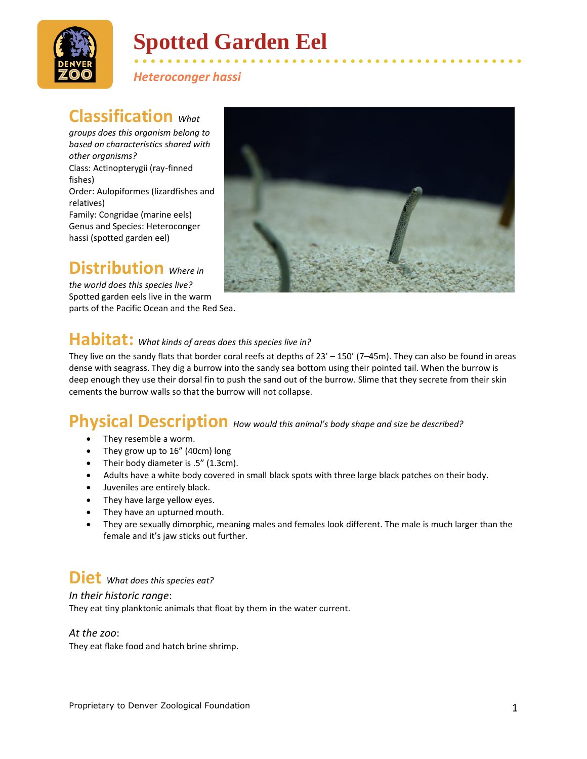

# **Spotted Garden Eel**

*Heteroconger hassi*

## **Classification** What

*groups does this organism belong to based on characteristics shared with other organisms?* Class: Actinopterygii (ray-finned fishes) Order: Aulopiformes (lizardfishes and relatives) Family: Congridae (marine eels) Genus and Species: Heteroconger hassi (spotted garden eel)

## **Distribution** *Where in*

*the world does this species live?* Spotted garden eels live in the warm parts of the Pacific Ocean and the Red Sea.



• • • • • • • • • • • • • • • • • • • • • • • • • • • • • • • • • • • • • • • • • • • • • • •

## **Habitat:** *What kinds of areas does this species live in?*

They live on the sandy flats that border coral reefs at depths of 23' – 150' (7–45m). They can also be found in areas dense with seagrass. They dig a burrow into the sandy sea bottom using their pointed tail. When the burrow is deep enough they use their dorsal fin to push the sand out of the burrow. Slime that they secrete from their skin cements the burrow walls so that the burrow will not collapse.

### **Physical Description** *How would this animal's body shape and size be described?*

- They resemble a worm.
- They grow up to 16" (40cm) long
- Their body diameter is .5" (1.3cm).
- Adults have a white body covered in small black spots with three large black patches on their body.
- Juveniles are entirely black.
- They have large yellow eyes.
- They have an upturned mouth.
- They are sexually dimorphic, meaning males and females look different. The male is much larger than the female and it's jaw sticks out further.

### **Diet** *What does this species eat?*

#### *In their historic range*:

They eat tiny planktonic animals that float by them in the water current.

#### *At the zoo*:

They eat flake food and hatch brine shrimp.